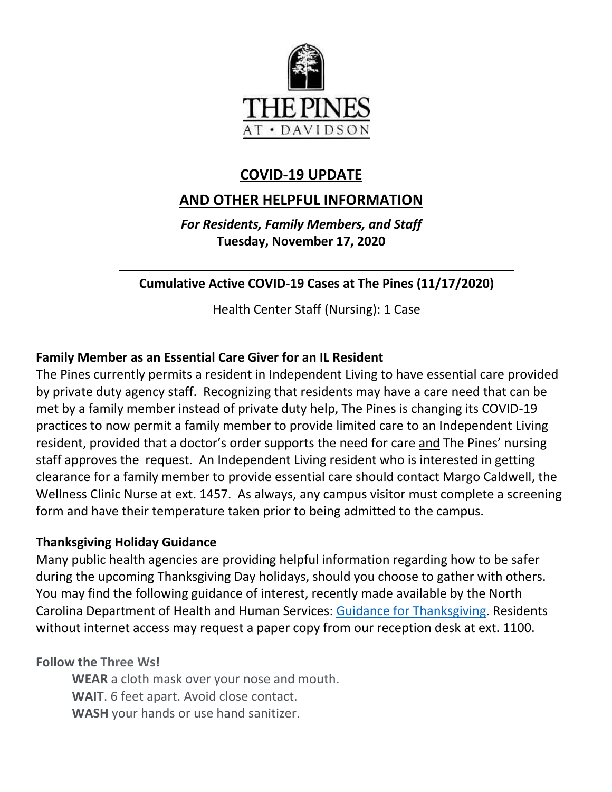

## **COVID-19 UPDATE**

## **AND OTHER HELPFUL INFORMATION**

*For Residents, Family Members, and Staff* **Tuesday, November 17, 2020**

**Cumulative Active COVID-19 Cases at The Pines (11/17/2020)**

Health Center Staff (Nursing): 1 Case

### **Family Member as an Essential Care Giver for an IL Resident**

The Pines currently permits a resident in Independent Living to have essential care provided by private duty agency staff. Recognizing that residents may have a care need that can be met by a family member instead of private duty help, The Pines is changing its COVID-19 practices to now permit a family member to provide limited care to an Independent Living resident, provided that a doctor's order supports the need for care and The Pines' nursing staff approves the request. An Independent Living resident who is interested in getting clearance for a family member to provide essential care should contact Margo Caldwell, the Wellness Clinic Nurse at ext. 1457. As always, any campus visitor must complete a screening form and have their temperature taken prior to being admitted to the campus.

#### **Thanksgiving Holiday Guidance**

Many public health agencies are providing helpful information regarding how to be safer during the upcoming Thanksgiving Day holidays, should you choose to gather with others. You may find the following guidance of interest, recently made available by the North Carolina Department of Health and Human Services: [Guidance for Thanksgiving.](https://files.nc.gov/covid/documents/guidance/NCDHHS-Interim-Guidance-for-Thanksgiving.pdf) Residents without internet access may request a paper copy from our reception desk at ext. 1100.

**Follow the Three Ws!**

**WEAR** a cloth mask over your nose and mouth. **WAIT**. 6 feet apart. Avoid close contact. **WASH** your hands or use hand sanitizer.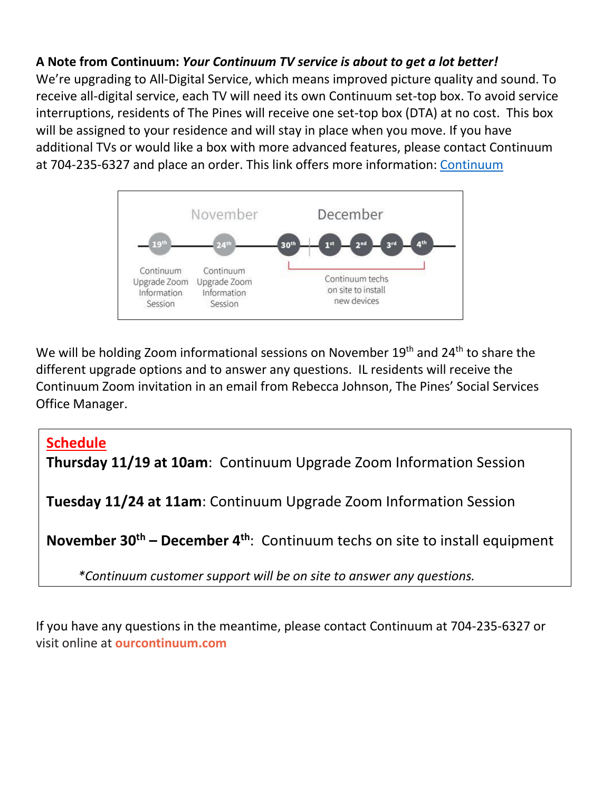### **A Note from Continuum:** *Your Continuum TV service is about to get a lot better!*

We're upgrading to All-Digital Service, which means improved picture quality and sound. To receive all-digital service, each TV will need its own Continuum set-top box. To avoid service interruptions, residents of The Pines will receive one set-top box (DTA) at no cost. This box will be assigned to your residence and will stay in place when you move. If you have additional TVs or would like a box with more advanced features, please contact Continuum at 704-235-6327 and place an order. This link offers more information: [Continuum](https://www.mycommunity-center.com/filephotos/463/Continuum%202.pdf)



We will be holding Zoom informational sessions on November 19<sup>th</sup> and 24<sup>th</sup> to share the different upgrade options and to answer any questions. IL residents will receive the Continuum Zoom invitation in an email from Rebecca Johnson, The Pines' Social Services Office Manager.

#### **Schedule**

**Thursday 11/19 at 10am**: Continuum Upgrade Zoom Information Session

**Tuesday 11/24 at 11am**: Continuum Upgrade Zoom Information Session

**November 30th – December 4th**: Continuum techs on site to install equipment

 *\*Continuum customer support will be on site to answer any questions.* 

If you have any questions in the meantime, please contact Continuum at 704-235-6327 or visit online at **ourcontinuum.com**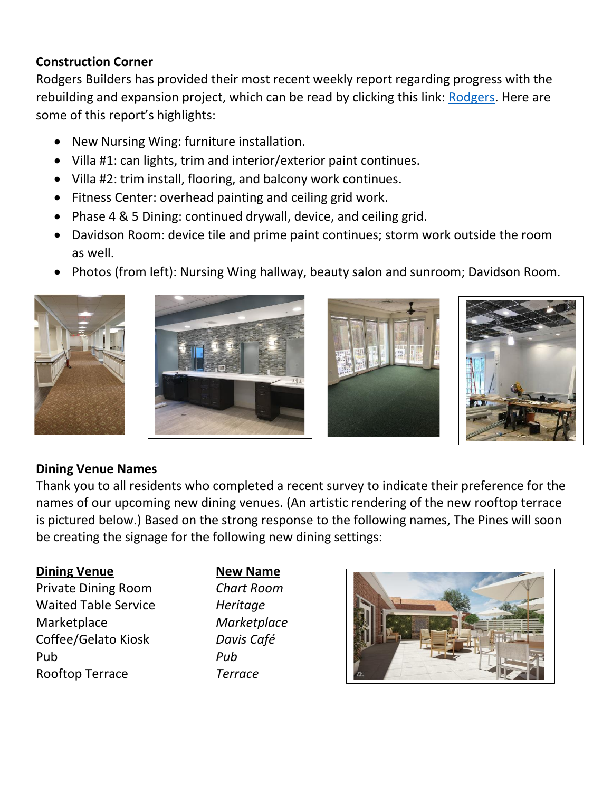#### **Construction Corner**

Rodgers Builders has provided their most recent weekly report regarding progress with the rebuilding and expansion project, which can be read by clicking this link: [Rodgers.](https://www.mycommunity-center.com/filephotos/463/2020-11-13%20Weekly%20Update.pdf) Here are some of this report's highlights:

- New Nursing Wing: furniture installation.
- Villa #1: can lights, trim and interior/exterior paint continues.
- Villa #2: trim install, flooring, and balcony work continues.
- Fitness Center: overhead painting and ceiling grid work.
- Phase 4 & 5 Dining: continued drywall, device, and ceiling grid.
- Davidson Room: device tile and prime paint continues; storm work outside the room as well.
- Photos (from left): Nursing Wing hallway, beauty salon and sunroom; Davidson Room.









#### **Dining Venue Names**

Thank you to all residents who completed a recent survey to indicate their preference for the names of our upcoming new dining venues. (An artistic rendering of the new rooftop terrace is pictured below.) Based on the strong response to the following names, The Pines will soon be creating the signage for the following new dining settings:

#### **Dining Venue New Name**

Private Dining Room *Chart Room* Waited Table Service *Heritage* Marketplace *Marketplace* Coffee/Gelato Kiosk *Davis Café* Pub *Pub* Rooftop Terrace *Terrace*